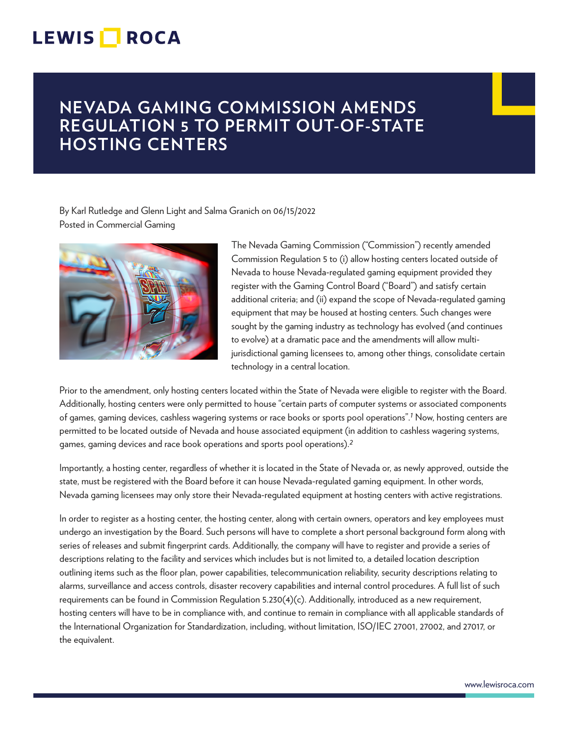## **LEWIS ROCA**

### **NEVADA GAMING COMMISSION AMENDS REGULATION 5 TO PERMIT OUT-OF-STATE HOSTING CENTERS**

By Karl Rutledge and Glenn Light and Salma Granich on 06/15/2022 Posted in Commercial Gaming



The Nevada Gaming Commission ("Commission") recently amended Commission Regulation 5 to (i) allow hosting centers located outside of Nevada to house Nevada-regulated gaming equipment provided they register with the Gaming Control Board ("Board") and satisfy certain additional criteria; and (ii) expand the scope of Nevada-regulated gaming equipment that may be housed at hosting centers. Such changes were sought by the gaming industry as technology has evolved (and continues to evolve) at a dramatic pace and the amendments will allow multijurisdictional gaming licensees to, among other things, consolidate certain technology in a central location.

Prior to the amendment, only hosting centers located within the State of Nevada were eligible to register with the Board. Additionally, hosting centers were only permitted to house "certain parts of computer systems or associated components of games, gaming devices, cashless wagering systems or race books or sports pool operations".*1* Now, hosting centers are permitted to be located outside of Nevada and house associated equipment (in addition to cashless wagering systems, games, gaming devices and race book operations and sports pool operations).*2*

Importantly, a hosting center, regardless of whether it is located in the State of Nevada or, as newly approved, outside the state, must be registered with the Board before it can house Nevada-regulated gaming equipment. In other words, Nevada gaming licensees may only store their Nevada-regulated equipment at hosting centers with active registrations.

In order to register as a hosting center, the hosting center, along with certain owners, operators and key employees must undergo an investigation by the Board. Such persons will have to complete a short personal background form along with series of releases and submit fingerprint cards. Additionally, the company will have to register and provide a series of descriptions relating to the facility and services which includes but is not limited to, a detailed location description outlining items such as the floor plan, power capabilities, telecommunication reliability, security descriptions relating to alarms, surveillance and access controls, disaster recovery capabilities and internal control procedures. A full list of such requirements can be found in Commission Regulation 5.230(4)(c). Additionally, introduced as a new requirement, hosting centers will have to be in compliance with, and continue to remain in compliance with all applicable standards of the International Organization for Standardization, including, without limitation, ISO/IEC 27001, 27002, and 27017, or the equivalent.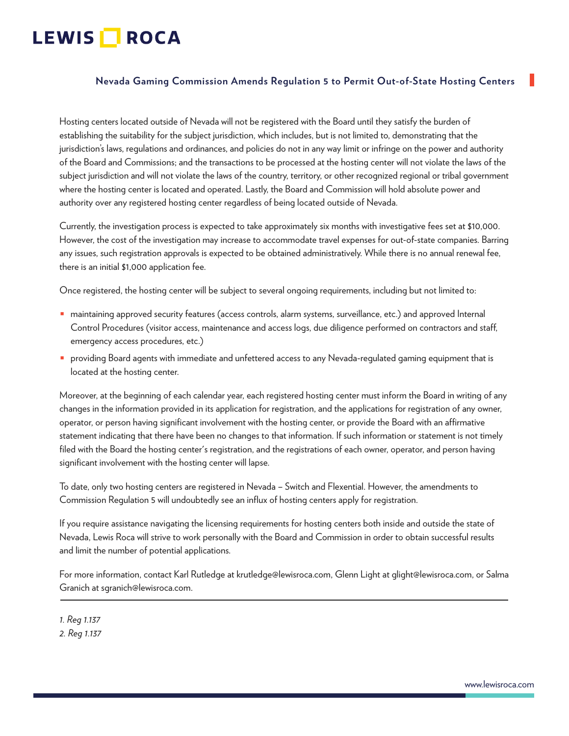# LEWIS **NOCA**

#### **Nevada Gaming Commission Amends Regulation 5 to Permit Out-of-State Hosting Centers**

Hosting centers located outside of Nevada will not be registered with the Board until they satisfy the burden of establishing the suitability for the subject jurisdiction, which includes, but is not limited to, demonstrating that the jurisdiction's laws, regulations and ordinances, and policies do not in any way limit or infringe on the power and authority of the Board and Commissions; and the transactions to be processed at the hosting center will not violate the laws of the subject jurisdiction and will not violate the laws of the country, territory, or other recognized regional or tribal government where the hosting center is located and operated. Lastly, the Board and Commission will hold absolute power and authority over any registered hosting center regardless of being located outside of Nevada.

Currently, the investigation process is expected to take approximately six months with investigative fees set at \$10,000. However, the cost of the investigation may increase to accommodate travel expenses for out-of-state companies. Barring any issues, such registration approvals is expected to be obtained administratively. While there is no annual renewal fee, there is an initial \$1,000 application fee.

Once registered, the hosting center will be subject to several ongoing requirements, including but not limited to:

- maintaining approved security features (access controls, alarm systems, surveillance, etc.) and approved Internal Control Procedures (visitor access, maintenance and access logs, due diligence performed on contractors and staff, emergency access procedures, etc.)
- providing Board agents with immediate and unfettered access to any Nevada-regulated gaming equipment that is located at the hosting center.

Moreover, at the beginning of each calendar year, each registered hosting center must inform the Board in writing of any changes in the information provided in its application for registration, and the applications for registration of any owner, operator, or person having significant involvement with the hosting center, or provide the Board with an affirmative statement indicating that there have been no changes to that information. If such information or statement is not timely filed with the Board the hosting center's registration, and the registrations of each owner, operator, and person having significant involvement with the hosting center will lapse.

To date, only two hosting centers are registered in Nevada – Switch and Flexential. However, the amendments to Commission Regulation 5 will undoubtedly see an influx of hosting centers apply for registration.

If you require assistance navigating the licensing requirements for hosting centers both inside and outside the state of Nevada, Lewis Roca will strive to work personally with the Board and Commission in order to obtain successful results and limit the number of potential applications.

For more information, contact Karl Rutledge at krutledge@lewisroca.com, Glenn Light at glight@lewisroca.com, or Salma Granich at sgranich@lewisroca.com.  $\overline{a}$ 

*1. Reg 1.137 2. Reg 1.137*